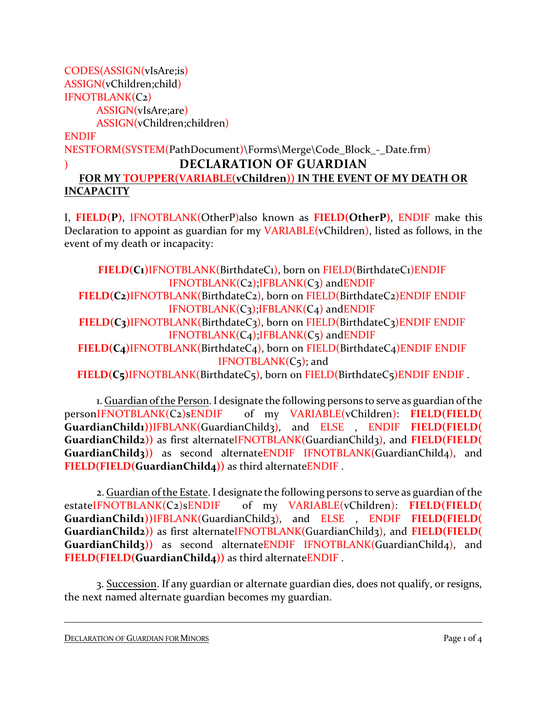CODES(ASSIGN(vIsAre;is) ASSIGN(vChildren;child) IFNOTBLANK(C2) ASSIGN(vIsAre;are) ASSIGN(vChildren;children)

ENDIF

NESTFORM(SYSTEM(PathDocument)\Forms\Merge\Code\_Block - Date.frm)

## ) **DECLARATION OF GUARDIAN**

## **FOR MY TOUPPER(VARIABLE(vChildren)) IN THE EVENT OF MY DEATH OR INCAPACITY**

I, **FIELD(P)**, IFNOTBLANK(OtherP)also known as **FIELD(OtherP)**, ENDIF make this Declaration to appoint as guardian for my VARIABLE(vChildren), listed as follows, in the event of my death or incapacity:

**FIELD(C1)**IFNOTBLANK(BirthdateC1), born on FIELD(BirthdateC1)ENDIF IFNOTBLANK(C2);IFBLANK(C3) andENDIF **FIELD(C2)**IFNOTBLANK(BirthdateC2), born on FIELD(BirthdateC2)ENDIF ENDIF IFNOTBLANK(C3);IFBLANK(C4) andENDIF **FIELD(C3)**IFNOTBLANK(BirthdateC3), born on FIELD(BirthdateC3)ENDIF ENDIF  $IFNOTBLANK(C<sub>4</sub>);IFBLANK(C<sub>5</sub>)$  and ENDIF

FIELD(C<sub>4</sub>)IFNOTBLANK(BirthdateC<sub>4</sub>), born on FIELD(BirthdateC<sub>4</sub>)ENDIF ENDIF IFNOTBLANK(C5); and

**FIELD(C5)**IFNOTBLANK(BirthdateC5), born on FIELD(BirthdateC5)ENDIF ENDIF .

1. Guardian of the Person. I designate the following persons to serve as guardian of the personIFNOTBLANK(C2)sENDIF of my VARIABLE(vChildren): **FIELD(FIELD( GuardianChild1))**IFBLANK(GuardianChild3), and ELSE , ENDIF **FIELD(FIELD( GuardianChild2))** as first alternateIFNOTBLANK(GuardianChild3), and **FIELD(FIELD(** GuardianChild3)) as second alternateENDIF IFNOTBLANK(GuardianChild4), and **FIELD(FIELD(GuardianChild4))** as third alternateENDIF .

2. Guardian of the Estate. I designate the following persons to serve as guardian of the estateIFNOTBLANK(C2)sENDIF of my VARIABLE(vChildren): **FIELD(FIELD( GuardianChild1))**IFBLANK(GuardianChild3), and ELSE , ENDIF **FIELD(FIELD( GuardianChild2))** as first alternateIFNOTBLANK(GuardianChild3), and **FIELD(FIELD(** GuardianChild<sub>3</sub>)) as second alternateENDIF IFNOTBLANK(GuardianChild<sub>4</sub>), and **FIELD(FIELD(GuardianChild4))** as third alternateENDIF .

3. Succession. If any guardian or alternate guardian dies, does not qualify, or resigns, the next named alternate guardian becomes my guardian.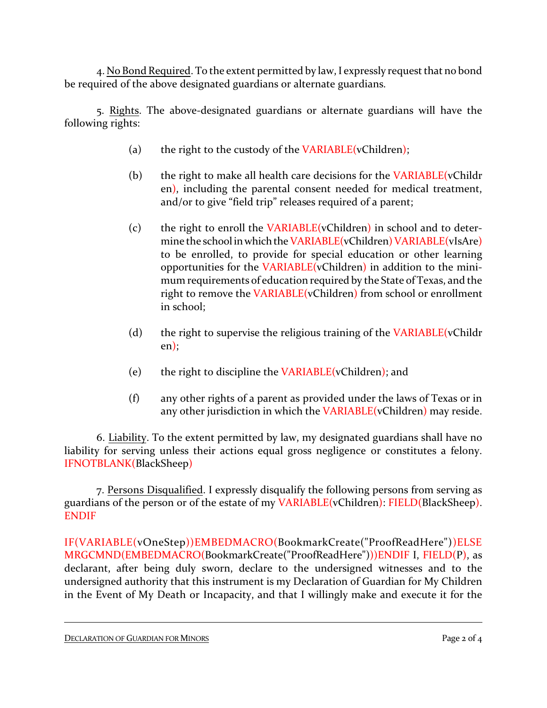4. No Bond Required. To the extent permitted by law, I expressly request that no bond be required of the above designated guardians or alternate guardians.

5. Rights. The above-designated guardians or alternate guardians will have the following rights:

- (a) the right to the custody of the VARIABLE(vChildren);
- (b) the right to make all health care decisions for the VARIABLE(vChildr en), including the parental consent needed for medical treatment, and/or to give "field trip" releases required of a parent;
- (c) the right to enroll the VARIABLE(vChildren) in school and to determine the school in which the VARIABLE(vChildren) VARIABLE(vIsAre) to be enrolled, to provide for special education or other learning opportunities for the VARIABLE(vChildren) in addition to the minimum requirements of education required by the State of Texas, and the right to remove the VARIABLE(vChildren) from school or enrollment in school;
- (d) the right to supervise the religious training of the  $VARIABLE(vChildr)$ en);
- (e) the right to discipline the VARIABLE(vChildren); and
- (f) any other rights of a parent as provided under the laws of Texas or in any other jurisdiction in which the VARIABLE(vChildren) may reside.

6. Liability. To the extent permitted by law, my designated guardians shall have no liability for serving unless their actions equal gross negligence or constitutes a felony. IFNOTBLANK(BlackSheep)

7. Persons Disqualified. I expressly disqualify the following persons from serving as guardians of the person or of the estate of my VARIABLE(vChildren): FIELD(BlackSheep). ENDIF

IF(VARIABLE(vOneStep))EMBEDMACRO(BookmarkCreate("ProofReadHere"))ELSE MRGCMND(EMBEDMACRO(BookmarkCreate("ProofReadHere")))ENDIF I, FIELD(P), as declarant, after being duly sworn, declare to the undersigned witnesses and to the undersigned authority that this instrument is my Declaration of Guardian for My Children in the Event of My Death or Incapacity, and that I willingly make and execute it for the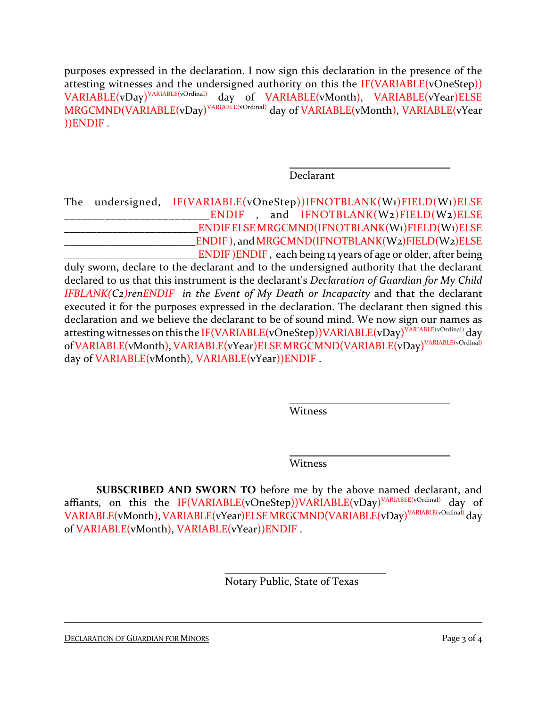purposes expressed in the declaration. I now sign this declaration in the presence of the attesting witnesses and the undersigned authority on this the IF(VARIABLE(vOneStep))  $\mathsf{VARIABLE}(\text{vDay})^\text{VARIABLE(vOrdinal)}$ day of VARIABLE(vMonth), VARIABLE(vYear)ELSE  $\mathsf{MRGCMND}(\mathsf{VARIABLE}(vDay)^{\mathsf{VARIABLE}(vOrdinal)}$  day of  $\mathsf{VARIABLE}(vMonth)$ ,  $\mathsf{VARIABLE}(vYear)$ ))ENDIF .

Declarant

The undersigned, IF(VARIABLE(vOneStep))IFNOTBLANK(W1)FIELD(W1)ELSE \_\_\_\_\_\_\_\_\_\_\_\_\_\_\_\_\_\_\_\_\_\_\_\_\_ENDIF , and IFNOTBLANK(W2)FIELD(W2)ELSE \_\_\_\_\_\_\_\_\_\_\_\_\_\_\_\_\_\_\_\_\_\_\_\_\_ENDIF ELSE MRGCMND(IFNOTBLANK(W1)FIELD(W1)ELSE ENDIF), and MRGCMND(IFNOTBLANK(W2)FIELD(W2)ELSE  $\Box$  ENDIF ) ENDIF, each being 14 years of age or older, after being duly sworn, declare to the declarant and to the undersigned authority that the declarant declared to us that this instrument is the declarant's *Declaration of Guardian for My Child IFBLANK(C2)renENDIF in the Event of My Death or Incapacity* and that the declarant executed it for the purposes expressed in the declaration. The declarant then signed this declaration and we believe the declarant to be of sound mind. We now sign our names as attesting witnesses on this the IF(VARIABLE(vOneStep))VARIABLE(vDay)<sup>VARIABLE(vOrdinal)</sup> day of VARIABLE(vMonth), VARIABLE(vYear)ELSE MRGCMND(VARIABLE(vDay)<sup>VARIABLE(vOrdinal)</sup> day of VARIABLE(vMonth), VARIABLE(vYear))ENDIF.

Witness

Witness

**SUBSCRIBED AND SWORN TO** before me by the above named declarant, and affiants, on this the IF(VARIABLE(vOneStep))VARIABLE(vDay)<sup>VARIABLE(vOrdinal)</sup> day of VARIABLE(vMonth),VARIABLE(vYear)ELSEMRGCMND(VARIABLE(vDay) VARIABLE(vOrdinal) day of VARIABLE(vMonth), VARIABLE(vYear))ENDIF .

Notary Public, State of Texas

DECLARATION OF GUARDIAN FOR MINORS Page 3 of 4